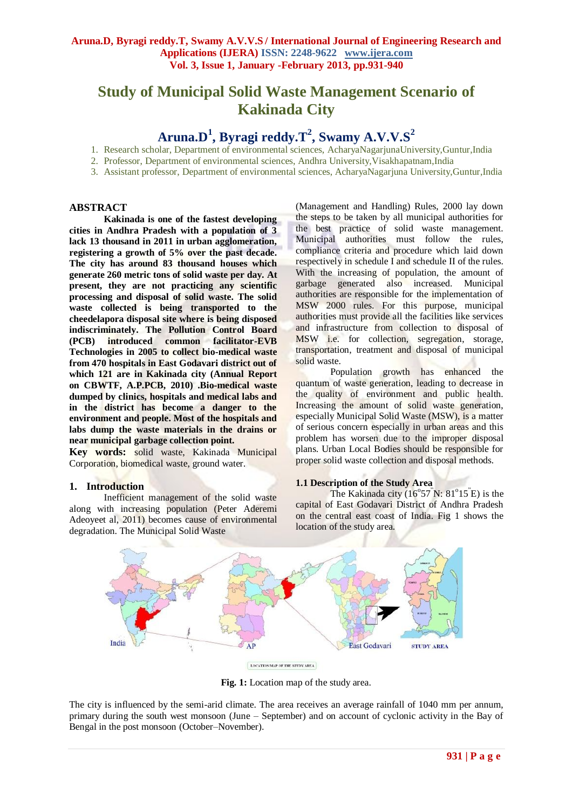# **Study of Municipal Solid Waste Management Scenario of Kakinada City**

## **Aruna.D<sup>1</sup> , Byragi reddy.T<sup>2</sup> , Swamy A.V.V.S<sup>2</sup>**

- 1. Research scholar, Department of environmental sciences, AcharyaNagarjunaUniversity,Guntur,India
- 2. Professor, Department of environmental sciences, Andhra University,Visakhapatnam,India
- 3. Assistant professor, Department of environmental sciences, AcharyaNagarjuna University,Guntur,India

#### **ABSTRACT**

**Kakinada is one of the fastest developing cities in Andhra Pradesh with a population of 3 lack 13 thousand in 2011 in urban agglomeration, registering a growth of 5% over the past decade. The city has around 83 thousand houses which generate 260 metric tons of solid waste per day. At present, they are not practicing any scientific processing and disposal of solid waste. The solid waste collected is being transported to the cheedelapora disposal site where is being disposed indiscriminately. The Pollution Control Board (PCB) introduced common facilitator-EVB Technologies in 2005 to collect bio-medical waste from 470 hospitals in East Godavari district out of which 121 are in Kakinada city (Annual Report on CBWTF, A.P.PCB, 2010) .Bio-medical waste dumped by clinics, hospitals and medical labs and in the district has become a danger to the environment and people. Most of the hospitals and labs dump the waste materials in the drains or near municipal garbage collection point.**

**Key words:** solid waste, Kakinada Municipal Corporation, biomedical waste, ground water.

#### **1. Introduction**

Inefficient management of the solid waste along with increasing population (Peter Aderemi Adeoyeet al, 2011) becomes cause of environmental degradation. The Municipal Solid Waste

(Management and Handling) Rules, 2000 lay down the steps to be taken by all municipal authorities for the best practice of solid waste management. Municipal authorities must follow the rules, compliance criteria and procedure which laid down respectively in schedule I and schedule II of the rules. With the increasing of population, the amount of garbage generated also increased. Municipal authorities are responsible for the implementation of MSW 2000 rules. For this purpose, municipal authorities must provide all the facilities like services and infrastructure from collection to disposal of MSW i.e. for collection, segregation, storage, transportation, treatment and disposal of municipal solid waste.

Population growth has enhanced the quantum of waste generation, leading to decrease in the quality of environment and public health. Increasing the amount of solid waste generation, especially Municipal Solid Waste (MSW), is a matter of serious concern especially in urban areas and this problem has worsen due to the improper disposal plans. Urban Local Bodies should be responsible for proper solid waste collection and disposal methods.

#### **1.1 Description of the Study Area**

The Kakinada city  $(16^{\circ}57^{\circ}N: 81^{\circ}15^{\circ}E)$  is the capital of East Godavari District of Andhra Pradesh on the central east coast of India. Fig 1 shows the location of the study area.



Fig. 1: Location map of the study area.

The city is influenced by the semi-arid climate. The area receives an average rainfall of 1040 mm per annum, primary during the south west monsoon (June – September) and on account of cyclonic activity in the Bay of Bengal in the post monsoon (October–November).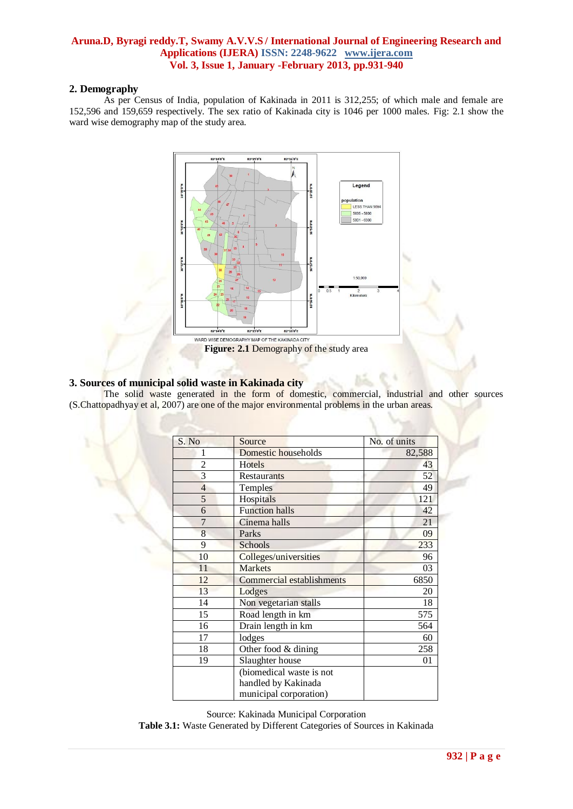#### **2. Demography**

As per Census of India, population of Kakinada in 2011 is 312,255; of which male and female are 152,596 and 159,659 respectively. The sex ratio of Kakinada city is 1046 per 1000 males. Fig: 2.1 show the ward wise demography map of the study area.



## **3. Sources of municipal solid waste in Kakinada city**

The solid waste generated in the form of domestic, commercial, industrial and other sources (S.Chattopadhyay et al, 2007) are one of the major environmental problems in the urban areas.

| S. No          | Source                                          | No. of units |  |  |
|----------------|-------------------------------------------------|--------------|--|--|
| 1              | Domestic households                             | 82,588       |  |  |
| $\overline{2}$ | Hotels                                          | 43           |  |  |
| 3              | <b>Restaurants</b>                              | 52           |  |  |
| $\overline{4}$ | Temples                                         | 49           |  |  |
| 5              | Hospitals                                       | 121          |  |  |
| 6              | <b>Function halls</b>                           | 42           |  |  |
| $\overline{7}$ | Cinema halls                                    | 21           |  |  |
| 8              | Parks                                           | 09           |  |  |
| 9              | Schools                                         | 233          |  |  |
| 10             | Colleges/universities                           | 96           |  |  |
| 11             | <b>Markets</b>                                  | 03           |  |  |
| 12             | Commercial establishments                       | 6850         |  |  |
| 13             | Lodges                                          | 20           |  |  |
| 14             | Non vegetarian stalls                           |              |  |  |
| 15             | Road length in km                               | 575          |  |  |
| 16             | Drain length in km                              | 564          |  |  |
| 17             | lodges                                          | 60           |  |  |
| 18             | Other food $&$ dining                           |              |  |  |
| 19             | Slaughter house                                 | 01           |  |  |
|                | (biomedical waste is not<br>handled by Kakinada |              |  |  |
|                | municipal corporation)                          |              |  |  |

Source: Kakinada Municipal Corporation

**Table 3.1:** Waste Generated by Different Categories of Sources in Kakinada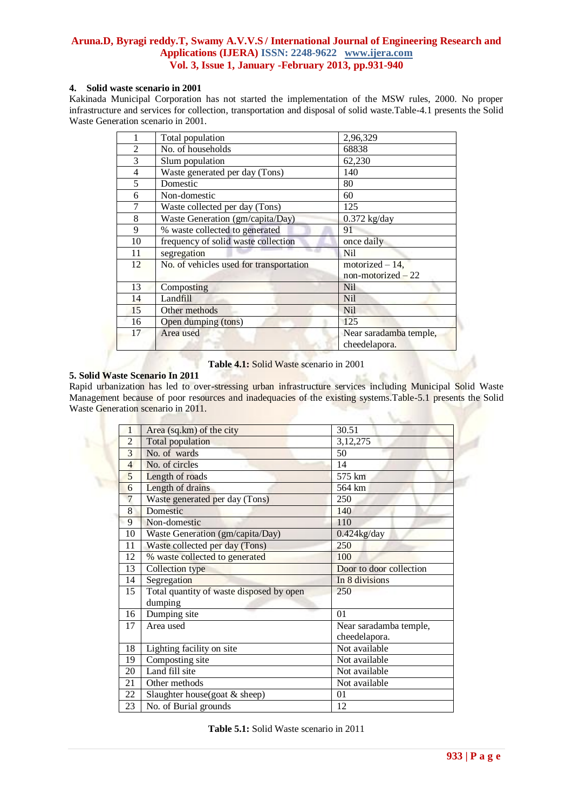#### **4. Solid waste scenario in 2001**

Kakinada Municipal Corporation has not started the implementation of the MSW rules, 2000. No proper infrastructure and services for collection, transportation and disposal of solid waste.Table-4.1 presents the Solid Waste Generation scenario in 2001.

|                | Total population                        | 2,96,329                                |  |  |
|----------------|-----------------------------------------|-----------------------------------------|--|--|
| $\overline{2}$ | No. of households                       | 68838                                   |  |  |
| 3              | Slum population                         | 62,230                                  |  |  |
| $\overline{4}$ | Waste generated per day (Tons)          | 140                                     |  |  |
| 5              | Domestic                                | 80                                      |  |  |
| 6              | Non-domestic                            | 60                                      |  |  |
| 7              | Waste collected per day (Tons)          | 125                                     |  |  |
| 8              | Waste Generation (gm/capita/Day)        | $0.372$ kg/day                          |  |  |
| 9              | % waste collected to generated          | 91                                      |  |  |
| 10             | frequency of solid waste collection     | once daily                              |  |  |
| 11             | segregation                             | <b>Nil</b>                              |  |  |
| 12             | No. of vehicles used for transportation | motorized $-14$ ,                       |  |  |
|                |                                         | $non-motorized - 22$                    |  |  |
| 13             | Composting                              | <b>Nil</b>                              |  |  |
| 14             | Landfill                                | <b>Nil</b>                              |  |  |
| 15             | Other methods                           | <b>Nil</b>                              |  |  |
| 16             | Open dumping (tons)                     | 125                                     |  |  |
| 17             | Area used                               | Near saradamba temple,<br>cheedelapora. |  |  |

**Table 4.1:** Solid Waste scenario in 2001

## **5. Solid Waste Scenario In 2011**

Rapid urbanization has led to over-stressing urban infrastructure services including Municipal Solid Waste Management because of poor resources and inadequacies of the existing systems.Table-5.1 presents the Solid Waste Generation scenario in 2011.

|                | Area (sq.km) of the city                            | 30.51                                   |  |  |  |  |
|----------------|-----------------------------------------------------|-----------------------------------------|--|--|--|--|
| $\overline{2}$ | <b>Total population</b>                             | 3, 12, 275                              |  |  |  |  |
| 3              | No. of wards                                        | 50                                      |  |  |  |  |
| $\overline{4}$ | No. of circles                                      | 14                                      |  |  |  |  |
| 5              | Length of roads                                     | 575 km                                  |  |  |  |  |
| 6              | Length of drains                                    | 564 km                                  |  |  |  |  |
| 7              | Waste generated per day (Tons)                      | 250                                     |  |  |  |  |
| 8              | Domestic                                            | 140                                     |  |  |  |  |
| 9              | Non-domestic                                        | 110                                     |  |  |  |  |
| 10             | Waste Generation (gm/capita/Day)                    | $0.424$ kg/day                          |  |  |  |  |
| 11             | Waste collected per day (Tons)                      | 250                                     |  |  |  |  |
| 12             | % waste collected to generated                      | 100                                     |  |  |  |  |
| 13             | <b>Collection</b> type                              | Door to door collection                 |  |  |  |  |
| 14             | Segregation                                         | In 8 divisions                          |  |  |  |  |
| 15             | Total quantity of waste disposed by open<br>dumping | 250                                     |  |  |  |  |
| 16             | Dumping site                                        | 01                                      |  |  |  |  |
| 17             | Area used                                           | Near saradamba temple,<br>cheedelapora. |  |  |  |  |
| 18             | Lighting facility on site                           | Not available                           |  |  |  |  |
| 19             | Composting site                                     | Not available                           |  |  |  |  |
| 20             | Land fill site                                      | Not available                           |  |  |  |  |
| 21             | Other methods                                       | Not available                           |  |  |  |  |
| 22             | Slaughter house(goat $&$ sheep)                     | 01                                      |  |  |  |  |
| 23             | No. of Burial grounds                               | 12                                      |  |  |  |  |

**Table 5.1:** Solid Waste scenario in 2011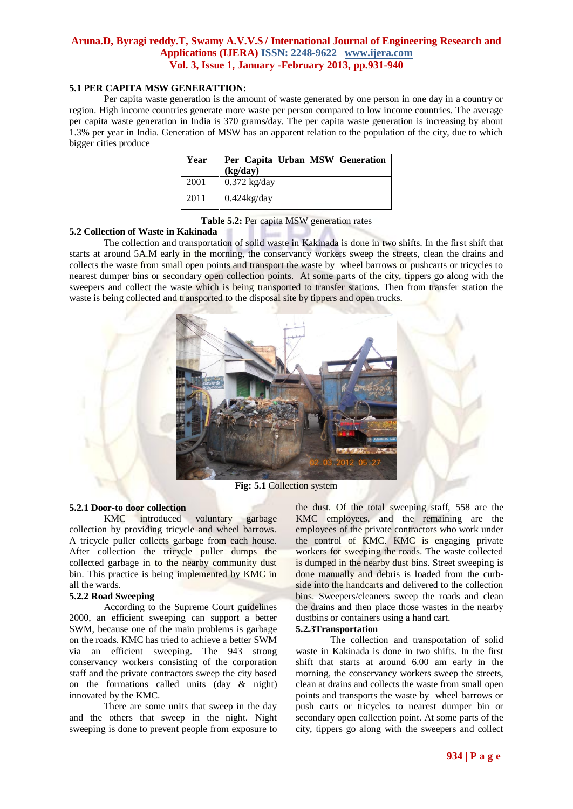#### **5.1 PER CAPITA MSW GENERATTION:**

Per capita waste generation is the amount of waste generated by one person in one day in a country or region. High income countries generate more waste per person compared to low income countries. The average per capita waste generation in India is 370 grams/day. The per capita waste generation is increasing by about 1.3% per year in India. Generation of MSW has an apparent relation to the population of the city, due to which bigger cities produce

| Year | Per Capita Urban MSW Generation<br>(kg/day) |
|------|---------------------------------------------|
| 2001 | $0.372$ kg/day                              |
| 2011 | $0.424$ kg/day                              |

**Table 5.2:** Per capita MSW generation rates

#### **5.2 Collection of Waste in Kakinada**

The collection and transportation of solid waste in Kakinada is done in two shifts. In the first shift that starts at around 5A.M early in the morning, the conservancy workers sweep the streets, clean the drains and collects the waste from small open points and transport the waste by wheel barrows or pushcarts or tricycles to nearest dumper bins or secondary open collection points. At some parts of the city, tippers go along with the sweepers and collect the waste which is being transported to transfer stations. Then from transfer station the waste is being collected and transported to the disposal site by tippers and open trucks.



**Fig: 5.1** Collection system

#### **5.2.1 Door-to door collection**

KMC introduced voluntary garbage collection by providing tricycle and wheel barrows. A tricycle puller collects garbage from each house. After collection the tricycle puller dumps the collected garbage in to the nearby community dust bin. This practice is being implemented by KMC in all the wards.

#### **5.2.2 Road Sweeping**

According to the Supreme Court guidelines 2000, an efficient sweeping can support a better SWM, because one of the main problems is garbage on the roads. KMC has tried to achieve a better SWM via an efficient sweeping. The 943 strong conservancy workers consisting of the corporation staff and the private contractors sweep the city based on the formations called units  $(\text{day } \& \text{night})$ innovated by the KMC.

There are some units that sweep in the day and the others that sweep in the night. Night sweeping is done to prevent people from exposure to

the dust. Of the total sweeping staff, 558 are the KMC employees, and the remaining are the employees of the private contractors who work under the control of KMC. KMC is engaging private workers for sweeping the roads. The waste collected is dumped in the nearby dust bins. Street sweeping is done manually and debris is loaded from the curbside into the handcarts and delivered to the collection bins. Sweepers/cleaners sweep the roads and clean the drains and then place those wastes in the nearby dustbins or containers using a hand cart.

#### **5.2.3Transportation**

The collection and transportation of solid waste in Kakinada is done in two shifts. In the first shift that starts at around 6.00 am early in the morning, the conservancy workers sweep the streets, clean at drains and collects the waste from small open points and transports the waste by wheel barrows or push carts or tricycles to nearest dumper bin or secondary open collection point. At some parts of the city, tippers go along with the sweepers and collect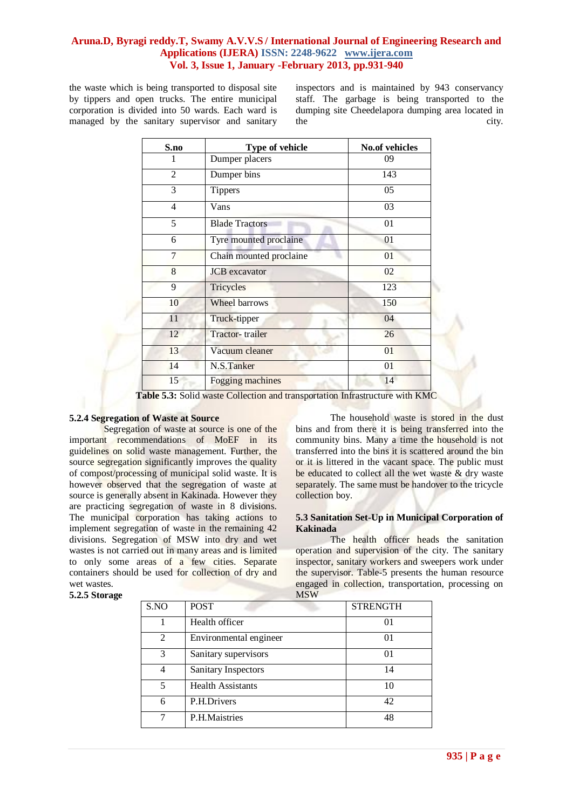the waste which is being transported to disposal site by tippers and open trucks. The entire municipal corporation is divided into 50 wards. Each ward is managed by the sanitary supervisor and sanitary inspectors and is maintained by 943 conservancy staff. The garbage is being transported to the dumping site Cheedelapora dumping area located in the city.

| S.no           | Type of vehicle               | <b>No.of vehicles</b> |  |  |  |
|----------------|-------------------------------|-----------------------|--|--|--|
| 1              | Dumper placers                | 09                    |  |  |  |
| $\overline{2}$ | Dumper bins                   | 143                   |  |  |  |
| 3              | <b>Tippers</b>                | 05                    |  |  |  |
| $\overline{4}$ | Vans                          | 03                    |  |  |  |
| 5              | <b>Blade Tractors</b>         | 01                    |  |  |  |
| 6              | Tyre mounted proclaine        | 01                    |  |  |  |
| 7              | Chain mounted proclaine       | 01                    |  |  |  |
| 8              | <b>JCB</b> excavator          | 02                    |  |  |  |
| 9              | Tricycles                     | 123                   |  |  |  |
| 10             | Wheel barrows<br>150          |                       |  |  |  |
| 11             | Truck-tipper<br>04            |                       |  |  |  |
| 12             | Tractor-trailer<br>26         |                       |  |  |  |
| 13             | 01<br>Vacuum cleaner          |                       |  |  |  |
| 14             | N.S.Tanker<br>01              |                       |  |  |  |
| 15             | 14<br><b>Fogging machines</b> |                       |  |  |  |

**Table 5.3:** Solid waste Collection and transportation Infrastructure with KMC

## **5.2.4 Segregation of Waste at Source**

Segregation of waste at source is one of the important recommendations of MoEF in its guidelines on solid waste management. Further, the source segregation significantly improves the quality of compost/processing of municipal solid waste. It is however observed that the segregation of waste at source is generally absent in Kakinada. However they are practicing segregation of waste in 8 divisions. The municipal corporation has taking actions to implement segregation of waste in the remaining 42 divisions. Segregation of MSW into dry and wet wastes is not carried out in many areas and is limited to only some areas of a few cities. Separate containers should be used for collection of dry and wet wastes.

## The household waste is stored in the dust bins and from there it is being transferred into the community bins. Many a time the household is not transferred into the bins it is scattered around the bin or it is littered in the vacant space. The public must be educated to collect all the wet waste & dry waste separately. The same must be handover to the tricycle collection boy.

#### **5.3 Sanitation Set-Up in Municipal Corporation of Kakinada**

The health officer heads the sanitation operation and supervision of the city. The sanitary inspector, sanitary workers and sweepers work under the supervisor. Table-5 presents the human resource engaged in collection, transportation, processing on **MSW** 

| <b>IATO AA</b> |                          |                 |  |  |  |  |  |
|----------------|--------------------------|-----------------|--|--|--|--|--|
| S.NO           | <b>POST</b>              | <b>STRENGTH</b> |  |  |  |  |  |
|                | Health officer           | 01              |  |  |  |  |  |
| 2              | Environmental engineer   | 01              |  |  |  |  |  |
| 3              | Sanitary supervisors     | $\Omega$        |  |  |  |  |  |
| 4              | Sanitary Inspectors      | 14              |  |  |  |  |  |
| 5              | <b>Health Assistants</b> | 10              |  |  |  |  |  |
| 6              | P.H.Drivers              | 42              |  |  |  |  |  |
|                | P.H.Maistries            | 48              |  |  |  |  |  |

**5.2.5 Storage**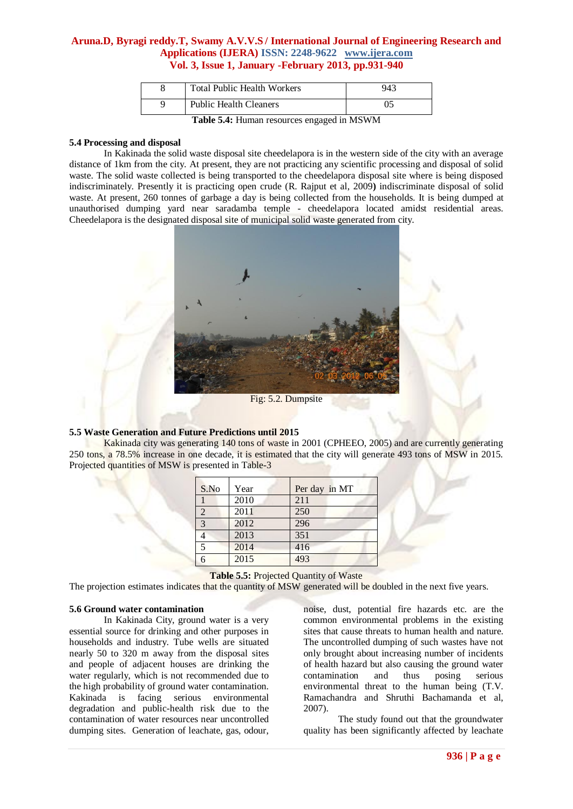| <b>Public Health Cleaners</b>      |     |
|------------------------------------|-----|
| <b>Total Public Health Workers</b> | 943 |

**Table 5.4:** Human resources engaged in MSWM

#### **5.4 Processing and disposal**

In Kakinada the solid waste disposal site cheedelapora is in the western side of the city with an average distance of 1km from the city. At present, they are not practicing any scientific processing and disposal of solid waste. The solid waste collected is being transported to the cheedelapora disposal site where is being disposed indiscriminately. Presently it is practicing open crude (R. Rajput et al, 2009**)** indiscriminate disposal of solid waste. At present, 260 tonnes of garbage a day is being collected from the households. It is being dumped at unauthorised dumping yard near saradamba temple - cheedelapora located amidst residential areas. Cheedelapora is the designated disposal site of municipal solid waste generated from city.



Fig: 5.2. Dumpsite

## **5.5 Waste Generation and Future Predictions until 2015**

Kakinada city was generating 140 tons of waste in 2001 (CPHEEO, 2005) and are currently generating 250 tons, a 78.5% increase in one decade, it is estimated that the city will generate 493 tons of MSW in 2015. Projected quantities of MSW is presented in Table-3

| Per day in MT |
|---------------|
|               |
|               |
|               |
|               |
|               |
|               |
|               |

**Table 5.5:** Projected Quantity of Waste

The projection estimates indicates that the quantity of MSW generated will be doubled in the next five years.

#### **5.6 Ground water contamination**

In Kakinada City, ground water is a very essential source for drinking and other purposes in households and industry. Tube wells are situated nearly 50 to 320 m away from the disposal sites and people of adjacent houses are drinking the water regularly, which is not recommended due to the high probability of ground water contamination. Kakinada is facing serious environmental degradation and public-health risk due to the contamination of water resources near uncontrolled dumping sites. Generation of leachate, gas, odour, noise, dust, potential fire hazards etc. are the common environmental problems in the existing sites that cause threats to human health and nature. The uncontrolled dumping of such wastes have not only brought about increasing number of incidents of health hazard but also causing the ground water contamination and thus posing serious environmental threat to the human being (T.V. Ramachandra and Shruthi Bachamanda et al, 2007).

The study found out that the groundwater quality has been significantly affected by leachate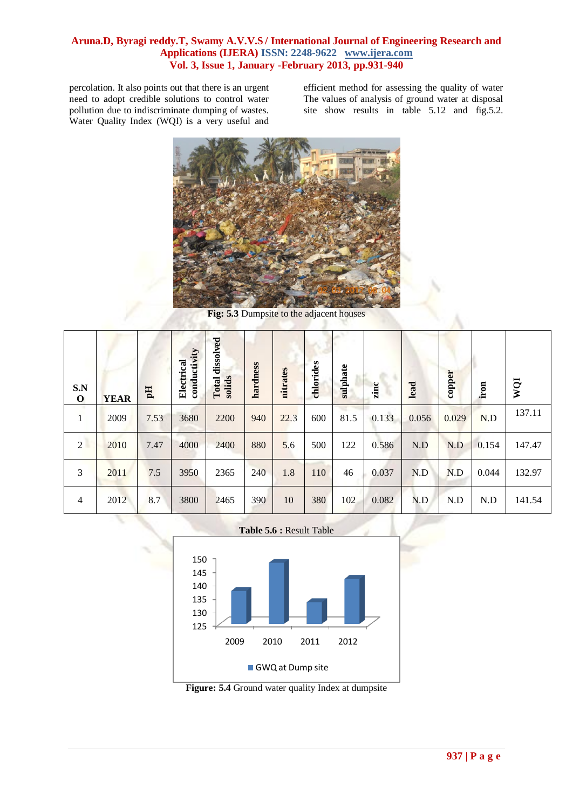percolation. It also points out that there is an urgent need to adopt credible solutions to control water pollution due to indiscriminate dumping of wastes. Water Quality Index (WQI) is a very useful and

efficient method for assessing the quality of water The values of analysis of ground water at disposal site show results in table 5.12 and fig. 5.2.



**Fig: 5.3** Dumpsite to the adjacent houses

| S.N<br>$\mathbf 0$ | <b>YEAR</b> | Eq   | conductivity<br>Electrical | dissolved<br>solids<br>Total | hardness | nitrates | chlorides | sulphate | zinc  | lead  | copper | iron  | WQI    |
|--------------------|-------------|------|----------------------------|------------------------------|----------|----------|-----------|----------|-------|-------|--------|-------|--------|
| $\mathbf{1}$       | 2009        | 7.53 | 3680                       | 2200                         | 940      | 22.3     | 600       | 81.5     | 0.133 | 0.056 | 0.029  | N.D   | 137.11 |
| 2                  | 2010        | 7.47 | 4000                       | 2400                         | 880      | 5.6      | 500       | 122      | 0.586 | N.D   | N.D    | 0.154 | 147.47 |
| 3                  | 2011        | 7.5  | 3950                       | 2365                         | 240      | 1.8      | 110       | 46       | 0.037 | N.D   | N.D    | 0.044 | 132.97 |
| $\overline{4}$     | 2012        | 8.7  | 3800                       | 2465                         | 390      | 10       | 380       | 102      | 0.082 | N.D   | N.D    | N.D   | 141.54 |

## **Table 5.6 :** Result Table

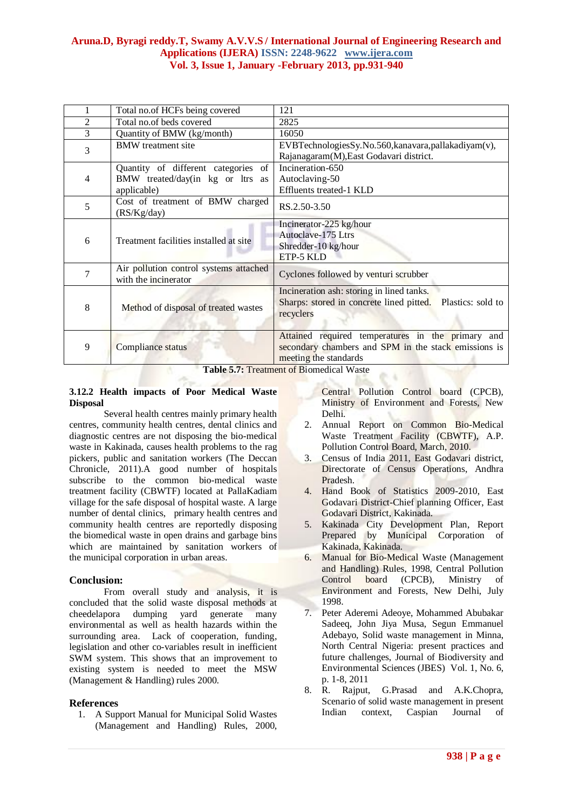|                | Total no.of HCFs being covered                                                            | 121                                                                                                                                                                               |  |  |
|----------------|-------------------------------------------------------------------------------------------|-----------------------------------------------------------------------------------------------------------------------------------------------------------------------------------|--|--|
| $\overline{2}$ | Total no.of beds covered                                                                  | 2825                                                                                                                                                                              |  |  |
| 3              | Quantity of BMW (kg/month)                                                                | 16050                                                                                                                                                                             |  |  |
| 3              | <b>BMW</b> treatment site                                                                 | EVBTechnologiesSy.No.560, kanavara, pallakadiyam(v),<br>Rajanagaram(M), East Godavari district.                                                                                   |  |  |
| $\overline{4}$ | Quantity of different categories<br>of<br>BMW treated/day(in kg or ltrs as<br>applicable) | Incineration-650<br>Autoclaving-50<br>Effluents treated-1 KLD                                                                                                                     |  |  |
| 5              | Cost of treatment of BMW charged<br>(RS/Kg/day)                                           | RS.2.50-3.50                                                                                                                                                                      |  |  |
| 6              | Treatment facilities installed at site                                                    | Incinerator-225 kg/hour<br>Autoclave-175 Ltrs<br>Shredder-10 kg/hour<br>ETP-5 KLD                                                                                                 |  |  |
| 7              | Air pollution control systems attached<br>with the incinerator                            | Cyclones followed by venturi scrubber                                                                                                                                             |  |  |
| 8              | Method of disposal of treated wastes                                                      | Incineration ash: storing in lined tanks.<br>Sharps: stored in concrete lined pitted.<br>Plastics: sold to<br>recyclers                                                           |  |  |
| 9              | Compliance status<br><b>PER 3 3 3 4</b>                                                   | Attained required temperatures in the primary and<br>secondary chambers and SPM in the stack emissions is<br>meeting the standards<br>$\mathcal{C}$ $\mathbb{R}^3$ $\mathbb{R}^3$ |  |  |

**Table 5.7:** Treatment of Biomedical Waste

#### **3.12.2 Health impacts of Poor Medical Waste Disposal**

Several health centres mainly primary health centres, community health centres, dental clinics and diagnostic centres are not disposing the bio-medical waste in Kakinada, causes health problems to the rag pickers, public and sanitation workers (The Deccan Chronicle, 2011).A good number of hospitals subscribe to the common bio-medical waste treatment facility (CBWTF) located at PallaKadiam village for the safe disposal of hospital waste. A large number of dental clinics, primary health centres and community health centres are reportedly disposing the biomedical waste in open drains and garbage bins which are maintained by sanitation workers of the municipal corporation in urban areas.

## **Conclusion:**

From overall study and analysis, it is concluded that the solid waste disposal methods at cheedelapora dumping yard generate many environmental as well as health hazards within the surrounding area. Lack of cooperation, funding, legislation and other co-variables result in inefficient SWM system. This shows that an improvement to existing system is needed to meet the MSW (Management & Handling) rules 2000.

## **References**

1. A Support Manual for Municipal Solid Wastes (Management and Handling) Rules, 2000,

Central Pollution Control board (CPCB), Ministry of Environment and Forests, New Delhi.

- 2. Annual Report on Common Bio-Medical Waste Treatment Facility (CBWTF), A.P. Pollution Control Board, March, 2010.
- 3. Census of India 2011, East Godavari district, Directorate of Census Operations, Andhra Pradesh.
- 4. Hand Book of Statistics 2009-2010, East Godavari District-Chief planning Officer, East Godavari District, Kakinada.
- 5. Kakinada City Development Plan, Report Prepared by Municipal Corporation of Kakinada, Kakinada.
- 6. Manual for Bio-Medical Waste (Management and Handling) Rules, 1998, Central Pollution Control board (CPCB), Ministry of Environment and Forests, New Delhi, July 1998.
- 7. Peter Aderemi Adeoye, Mohammed Abubakar Sadeeq, John Jiya Musa, Segun Emmanuel Adebayo, Solid waste management in Minna, North Central Nigeria: present practices and future challenges, Journal of Biodiversity and Environmental Sciences (JBES) Vol. 1, No. 6, p. 1-8, 2011
- 8. R. Rajput, G.Prasad and A.K.Chopra, Scenario of solid waste management in present Indian context, Caspian Journal of